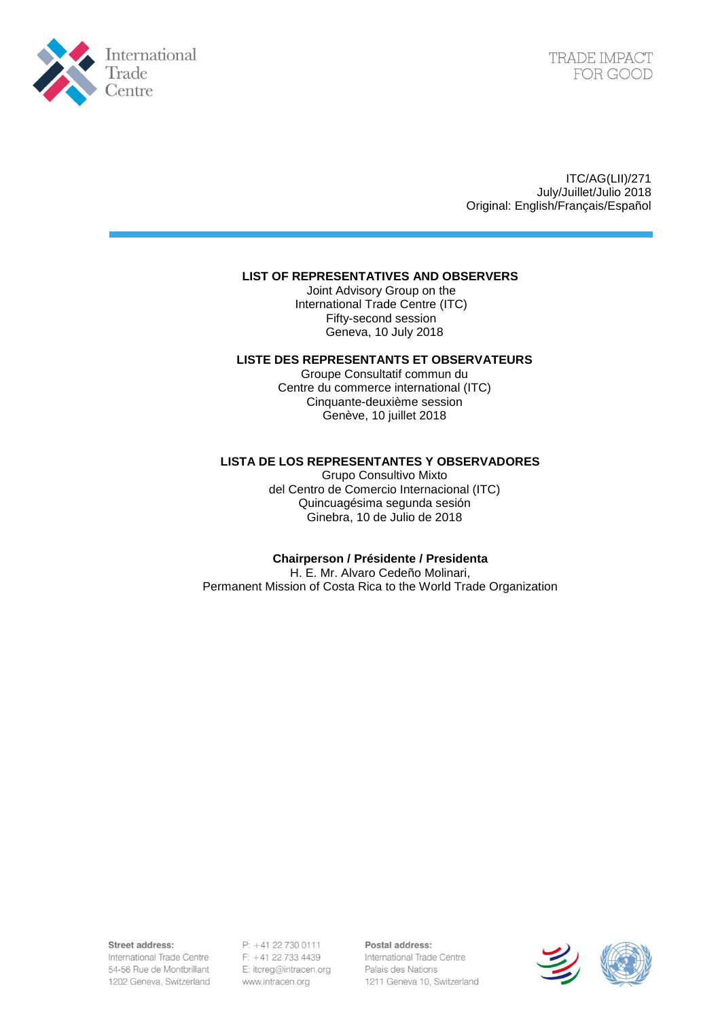

ITC/AG(LII)/271 July/Juillet/Julio 2018 Original: English/Français/Español

#### **LIST OF REPRESENTATIVES AND OBSERVERS**

Joint Advisory Group on the International Trade Centre (ITC) Fifty-second session Geneva, 10 July 2018

#### **LISTE DES REPRESENTANTS ET OBSERVATEURS**

Groupe Consultatif commun du Centre du commerce international (ITC) Cinquante-deuxième session Genève, 10 juillet 2018

### **LISTA DE LOS REPRESENTANTES Y OBSERVADORES**

Grupo Consultivo Mixto del Centro de Comercio Internacional (ITC) Quincuagésima segunda sesión Ginebra, 10 de Julio de 2018

#### **Chairperson / Présidente / Presidenta**

H. E. Mr. Alvaro Cedeño Molinari, Permanent Mission of Costa Rica to the World Trade Organization

Street address:

International Trade Centre 54-56 Rue de Montbrillant 1202 Geneva, Switzerland

P: +41 22 730 0111 F: +41 22 733 4439 E: itcreg@intracen.org www.intracen.org

Postal address: International Trade Centre Palais des Nations 1211 Geneva 10, Switzerland

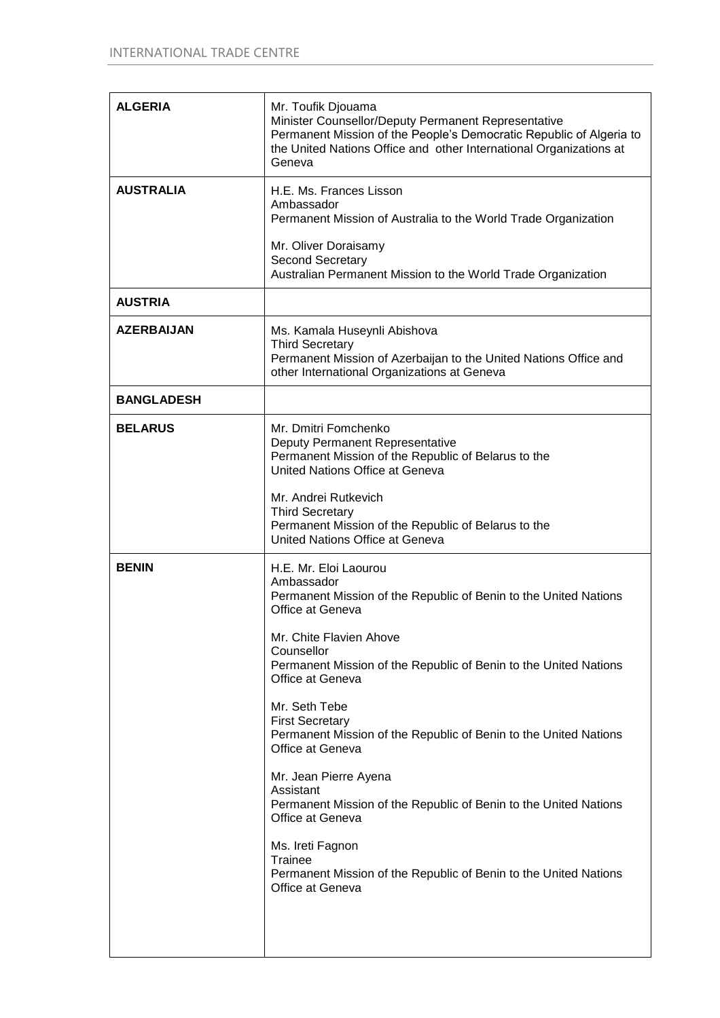| <b>ALGERIA</b>    | Mr. Toufik Djouama<br>Minister Counsellor/Deputy Permanent Representative<br>Permanent Mission of the People's Democratic Republic of Algeria to<br>the United Nations Office and other International Organizations at<br>Geneva                                                                                                                                                                         |
|-------------------|----------------------------------------------------------------------------------------------------------------------------------------------------------------------------------------------------------------------------------------------------------------------------------------------------------------------------------------------------------------------------------------------------------|
| <b>AUSTRALIA</b>  | H.E. Ms. Frances Lisson<br>Ambassador<br>Permanent Mission of Australia to the World Trade Organization<br>Mr. Oliver Doraisamy<br>Second Secretary<br>Australian Permanent Mission to the World Trade Organization                                                                                                                                                                                      |
| <b>AUSTRIA</b>    |                                                                                                                                                                                                                                                                                                                                                                                                          |
| <b>AZERBAIJAN</b> | Ms. Kamala Huseynli Abishova<br><b>Third Secretary</b><br>Permanent Mission of Azerbaijan to the United Nations Office and<br>other International Organizations at Geneva                                                                                                                                                                                                                                |
| <b>BANGLADESH</b> |                                                                                                                                                                                                                                                                                                                                                                                                          |
| <b>BELARUS</b>    | Mr. Dmitri Fomchenko<br>Deputy Permanent Representative<br>Permanent Mission of the Republic of Belarus to the<br>United Nations Office at Geneva<br>Mr. Andrei Rutkevich<br><b>Third Secretary</b><br>Permanent Mission of the Republic of Belarus to the<br>United Nations Office at Geneva                                                                                                            |
| <b>BENIN</b>      | H.E. Mr. Eloi Laourou<br>Ambassador<br>Permanent Mission of the Republic of Benin to the United Nations<br>Office at Geneva<br>Mr. Chite Flavien Ahove<br>Counsellor<br>Permanent Mission of the Republic of Benin to the United Nations                                                                                                                                                                 |
|                   | Office at Geneva<br>Mr. Seth Tebe<br><b>First Secretary</b><br>Permanent Mission of the Republic of Benin to the United Nations<br>Office at Geneva<br>Mr. Jean Pierre Ayena<br>Assistant<br>Permanent Mission of the Republic of Benin to the United Nations<br>Office at Geneva<br>Ms. Ireti Fagnon<br>Trainee<br>Permanent Mission of the Republic of Benin to the United Nations<br>Office at Geneva |
|                   |                                                                                                                                                                                                                                                                                                                                                                                                          |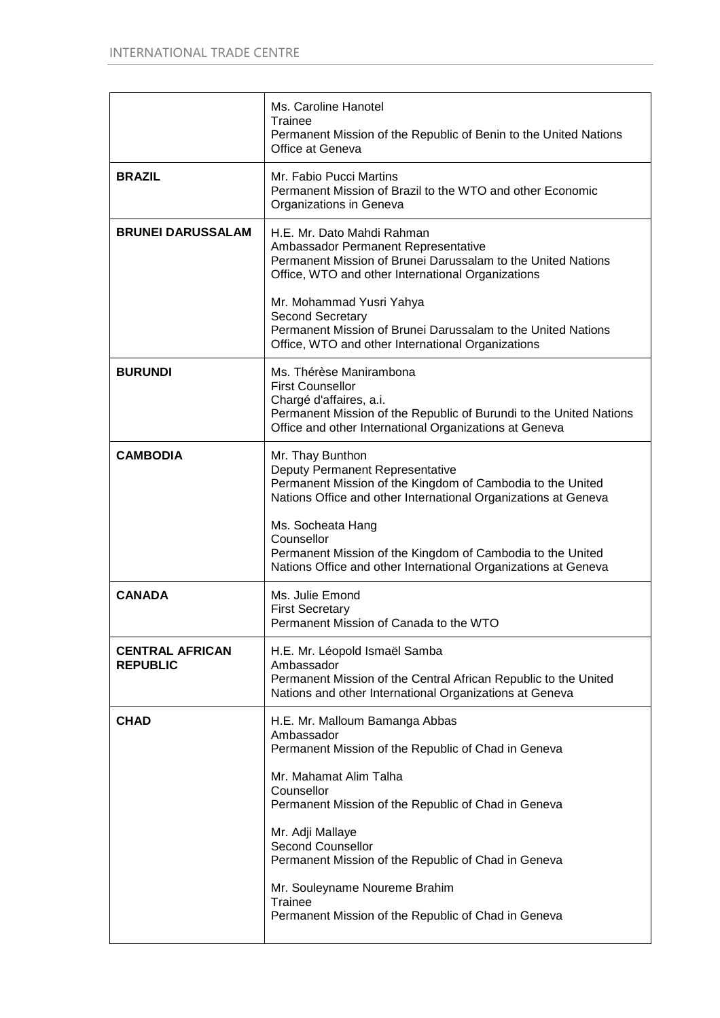|                                           | Ms. Caroline Hanotel<br>Trainee<br>Permanent Mission of the Republic of Benin to the United Nations<br>Office at Geneva                                                                                                |
|-------------------------------------------|------------------------------------------------------------------------------------------------------------------------------------------------------------------------------------------------------------------------|
| <b>BRAZIL</b>                             | Mr. Fabio Pucci Martins<br>Permanent Mission of Brazil to the WTO and other Economic<br>Organizations in Geneva                                                                                                        |
| <b>BRUNEI DARUSSALAM</b>                  | H.E. Mr. Dato Mahdi Rahman<br>Ambassador Permanent Representative<br>Permanent Mission of Brunei Darussalam to the United Nations<br>Office, WTO and other International Organizations                                 |
|                                           | Mr. Mohammad Yusri Yahya<br>Second Secretary<br>Permanent Mission of Brunei Darussalam to the United Nations<br>Office, WTO and other International Organizations                                                      |
| <b>BURUNDI</b>                            | Ms. Thérèse Manirambona<br><b>First Counsellor</b><br>Chargé d'affaires, a.i.<br>Permanent Mission of the Republic of Burundi to the United Nations<br>Office and other International Organizations at Geneva          |
| <b>CAMBODIA</b>                           | Mr. Thay Bunthon<br>Deputy Permanent Representative<br>Permanent Mission of the Kingdom of Cambodia to the United<br>Nations Office and other International Organizations at Geneva<br>Ms. Socheata Hang<br>Counsellor |
|                                           | Permanent Mission of the Kingdom of Cambodia to the United<br>Nations Office and other International Organizations at Geneva                                                                                           |
| <b>CANADA</b>                             | Ms. Julie Emond<br><b>First Secretary</b><br>Permanent Mission of Canada to the WTO                                                                                                                                    |
| <b>CENTRAL AFRICAN</b><br><b>REPUBLIC</b> | H.E. Mr. Léopold Ismaël Samba<br>Ambassador<br>Permanent Mission of the Central African Republic to the United<br>Nations and other International Organizations at Geneva                                              |
| <b>CHAD</b>                               | H.E. Mr. Malloum Bamanga Abbas<br>Ambassador<br>Permanent Mission of the Republic of Chad in Geneva                                                                                                                    |
|                                           | Mr. Mahamat Alim Talha<br>Counsellor<br>Permanent Mission of the Republic of Chad in Geneva                                                                                                                            |
|                                           | Mr. Adji Mallaye<br><b>Second Counsellor</b><br>Permanent Mission of the Republic of Chad in Geneva                                                                                                                    |
|                                           | Mr. Souleyname Noureme Brahim<br>Trainee<br>Permanent Mission of the Republic of Chad in Geneva                                                                                                                        |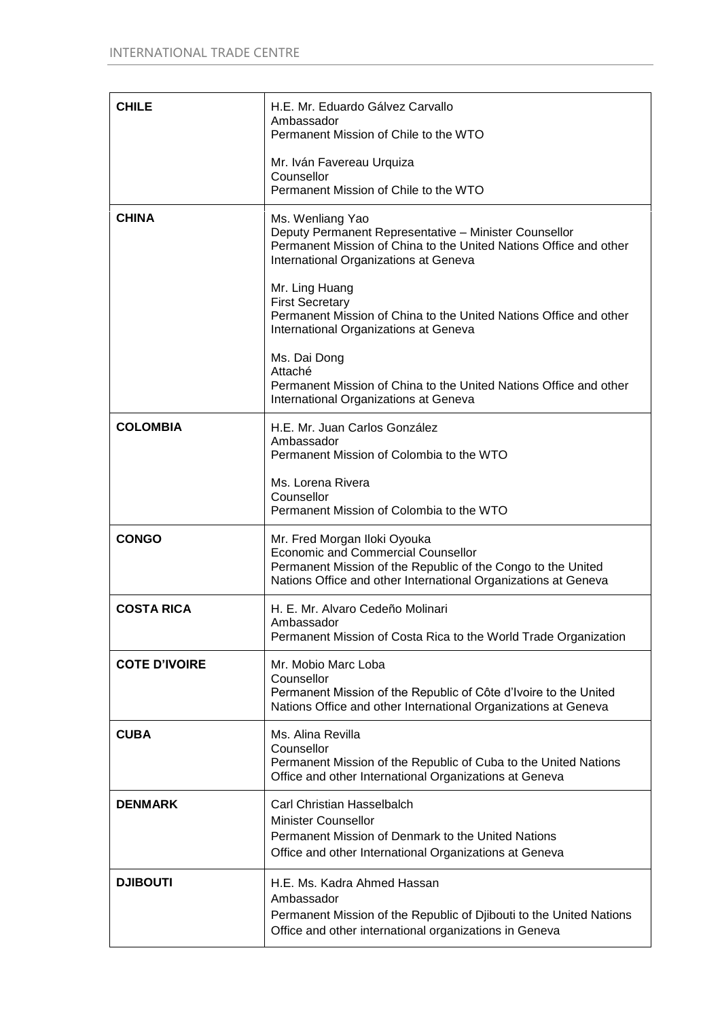| <b>CHILE</b>         | H.E. Mr. Eduardo Gálvez Carvallo<br>Ambassador<br>Permanent Mission of Chile to the WTO                                                                                                                     |
|----------------------|-------------------------------------------------------------------------------------------------------------------------------------------------------------------------------------------------------------|
|                      | Mr. Iván Favereau Urquiza<br>Counsellor<br>Permanent Mission of Chile to the WTO                                                                                                                            |
| <b>CHINA</b>         | Ms. Wenliang Yao<br>Deputy Permanent Representative - Minister Counsellor<br>Permanent Mission of China to the United Nations Office and other<br>International Organizations at Geneva                     |
|                      | Mr. Ling Huang<br><b>First Secretary</b><br>Permanent Mission of China to the United Nations Office and other<br>International Organizations at Geneva                                                      |
|                      | Ms. Dai Dong<br>Attaché<br>Permanent Mission of China to the United Nations Office and other<br>International Organizations at Geneva                                                                       |
| <b>COLOMBIA</b>      | H.E. Mr. Juan Carlos González<br>Ambassador<br>Permanent Mission of Colombia to the WTO                                                                                                                     |
|                      | Ms. Lorena Rivera<br>Counsellor<br>Permanent Mission of Colombia to the WTO                                                                                                                                 |
| <b>CONGO</b>         | Mr. Fred Morgan Iloki Oyouka<br><b>Economic and Commercial Counsellor</b><br>Permanent Mission of the Republic of the Congo to the United<br>Nations Office and other International Organizations at Geneva |
| <b>COSTA RICA</b>    | H. E. Mr. Alvaro Cedeño Molinari<br>Ambassador<br>Permanent Mission of Costa Rica to the World Trade Organization                                                                                           |
| <b>COTE D'IVOIRE</b> | Mr. Mobio Marc Loba<br>Counsellor<br>Permanent Mission of the Republic of Côte d'Ivoire to the United<br>Nations Office and other International Organizations at Geneva                                     |
| <b>CUBA</b>          | Ms. Alina Revilla<br>Counsellor<br>Permanent Mission of the Republic of Cuba to the United Nations<br>Office and other International Organizations at Geneva                                                |
| <b>DENMARK</b>       | <b>Carl Christian Hasselbalch</b><br><b>Minister Counsellor</b><br>Permanent Mission of Denmark to the United Nations<br>Office and other International Organizations at Geneva                             |
| <b>DJIBOUTI</b>      | H.E. Ms. Kadra Ahmed Hassan<br>Ambassador<br>Permanent Mission of the Republic of Djibouti to the United Nations<br>Office and other international organizations in Geneva                                  |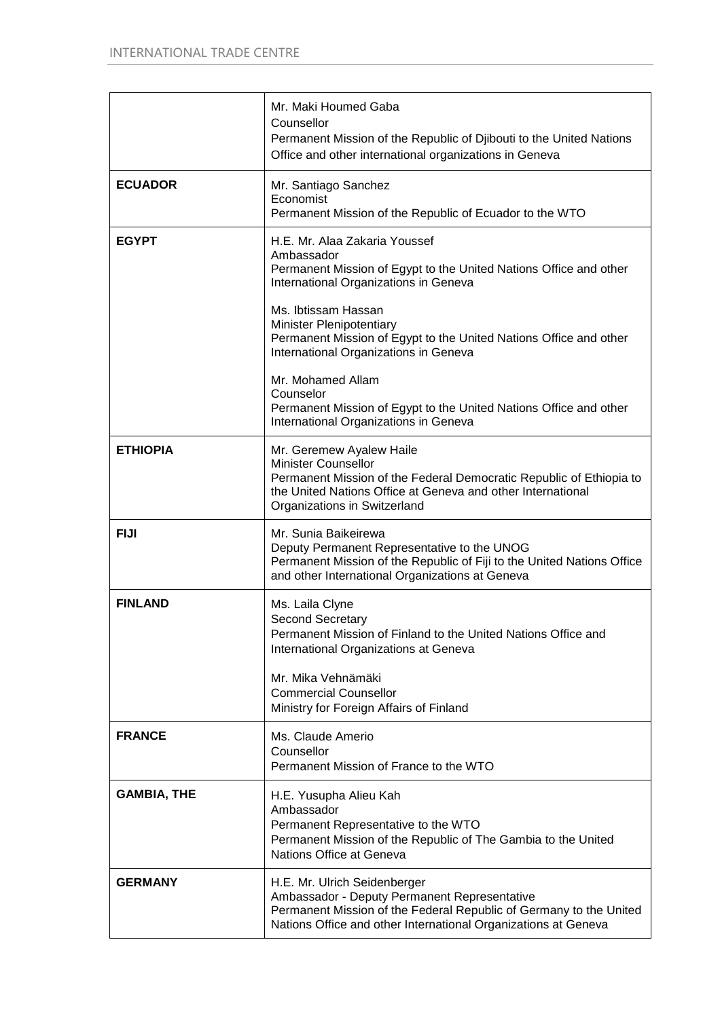|                    | Mr. Maki Houmed Gaba<br>Counsellor<br>Permanent Mission of the Republic of Djibouti to the United Nations<br>Office and other international organizations in Geneva                                                          |
|--------------------|------------------------------------------------------------------------------------------------------------------------------------------------------------------------------------------------------------------------------|
| <b>ECUADOR</b>     | Mr. Santiago Sanchez<br>Economist<br>Permanent Mission of the Republic of Ecuador to the WTO                                                                                                                                 |
| <b>EGYPT</b>       | H.E. Mr. Alaa Zakaria Youssef<br>Ambassador<br>Permanent Mission of Egypt to the United Nations Office and other<br>International Organizations in Geneva                                                                    |
|                    | Ms. Ibtissam Hassan<br>Minister Plenipotentiary<br>Permanent Mission of Egypt to the United Nations Office and other<br>International Organizations in Geneva                                                                |
|                    | Mr. Mohamed Allam<br>Counselor<br>Permanent Mission of Egypt to the United Nations Office and other<br>International Organizations in Geneva                                                                                 |
| <b>ETHIOPIA</b>    | Mr. Geremew Ayalew Haile<br><b>Minister Counsellor</b><br>Permanent Mission of the Federal Democratic Republic of Ethiopia to<br>the United Nations Office at Geneva and other International<br>Organizations in Switzerland |
| <b>FIJI</b>        | Mr. Sunia Baikeirewa<br>Deputy Permanent Representative to the UNOG<br>Permanent Mission of the Republic of Fiji to the United Nations Office<br>and other International Organizations at Geneva                             |
| <b>FINLAND</b>     | Ms. Laila Clyne<br><b>Second Secretary</b><br>Permanent Mission of Finland to the United Nations Office and<br>International Organizations at Geneva<br>Mr. Mika Vehnämäki<br><b>Commercial Counsellor</b>                   |
| <b>FRANCE</b>      | Ministry for Foreign Affairs of Finland<br>Ms. Claude Amerio                                                                                                                                                                 |
|                    | Counsellor<br>Permanent Mission of France to the WTO                                                                                                                                                                         |
| <b>GAMBIA, THE</b> | H.E. Yusupha Alieu Kah<br>Ambassador<br>Permanent Representative to the WTO<br>Permanent Mission of the Republic of The Gambia to the United<br>Nations Office at Geneva                                                     |
| <b>GERMANY</b>     | H.E. Mr. Ulrich Seidenberger<br>Ambassador - Deputy Permanent Representative<br>Permanent Mission of the Federal Republic of Germany to the United<br>Nations Office and other International Organizations at Geneva         |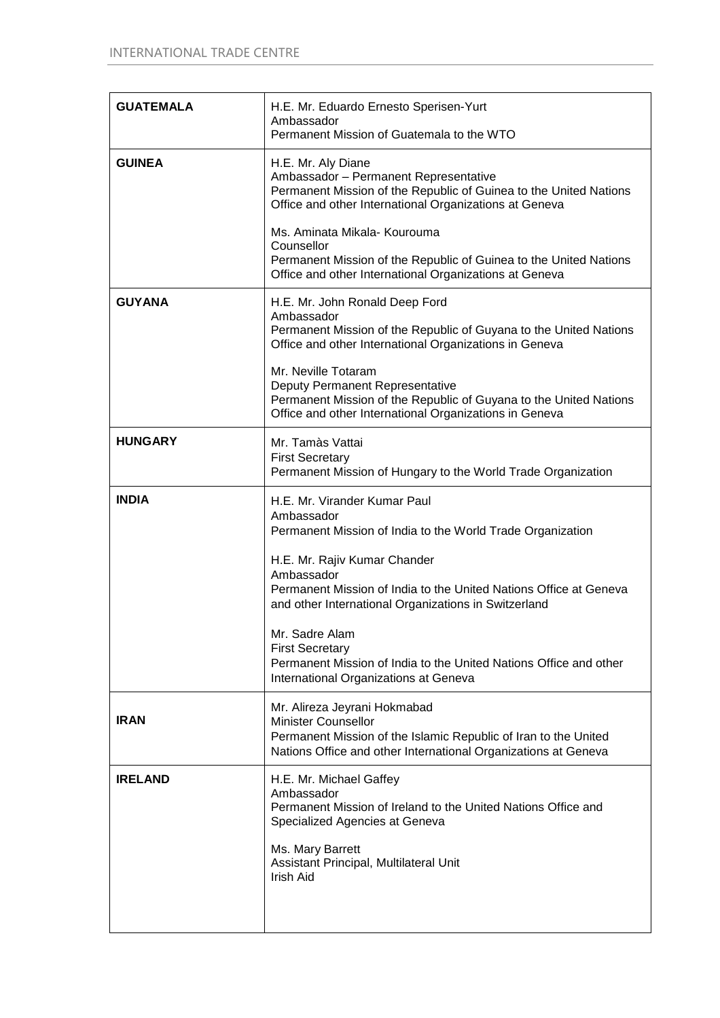| <b>GUATEMALA</b> | H.E. Mr. Eduardo Ernesto Sperisen-Yurt<br>Ambassador<br>Permanent Mission of Guatemala to the WTO                                                                                               |  |
|------------------|-------------------------------------------------------------------------------------------------------------------------------------------------------------------------------------------------|--|
| <b>GUINEA</b>    | H.E. Mr. Aly Diane<br>Ambassador - Permanent Representative<br>Permanent Mission of the Republic of Guinea to the United Nations<br>Office and other International Organizations at Geneva      |  |
|                  | Ms. Aminata Mikala- Kourouma<br>Counsellor<br>Permanent Mission of the Republic of Guinea to the United Nations<br>Office and other International Organizations at Geneva                       |  |
| <b>GUYANA</b>    | H.E. Mr. John Ronald Deep Ford<br>Ambassador<br>Permanent Mission of the Republic of Guyana to the United Nations<br>Office and other International Organizations in Geneva                     |  |
|                  | Mr. Neville Totaram<br>Deputy Permanent Representative<br>Permanent Mission of the Republic of Guyana to the United Nations<br>Office and other International Organizations in Geneva           |  |
| <b>HUNGARY</b>   | Mr. Tamàs Vattai<br><b>First Secretary</b><br>Permanent Mission of Hungary to the World Trade Organization                                                                                      |  |
| <b>INDIA</b>     | H.E. Mr. Virander Kumar Paul<br>Ambassador<br>Permanent Mission of India to the World Trade Organization                                                                                        |  |
|                  | H.E. Mr. Rajiv Kumar Chander<br>Ambassador<br>Permanent Mission of India to the United Nations Office at Geneva<br>and other International Organizations in Switzerland                         |  |
|                  | Mr. Sadre Alam<br><b>First Secretary</b><br>Permanent Mission of India to the United Nations Office and other<br>International Organizations at Geneva                                          |  |
| <b>IRAN</b>      | Mr. Alireza Jeyrani Hokmabad<br><b>Minister Counsellor</b><br>Permanent Mission of the Islamic Republic of Iran to the United<br>Nations Office and other International Organizations at Geneva |  |
| <b>IRELAND</b>   | H.E. Mr. Michael Gaffey<br>Ambassador<br>Permanent Mission of Ireland to the United Nations Office and<br>Specialized Agencies at Geneva                                                        |  |
|                  | Ms. Mary Barrett<br>Assistant Principal, Multilateral Unit<br>Irish Aid                                                                                                                         |  |
|                  |                                                                                                                                                                                                 |  |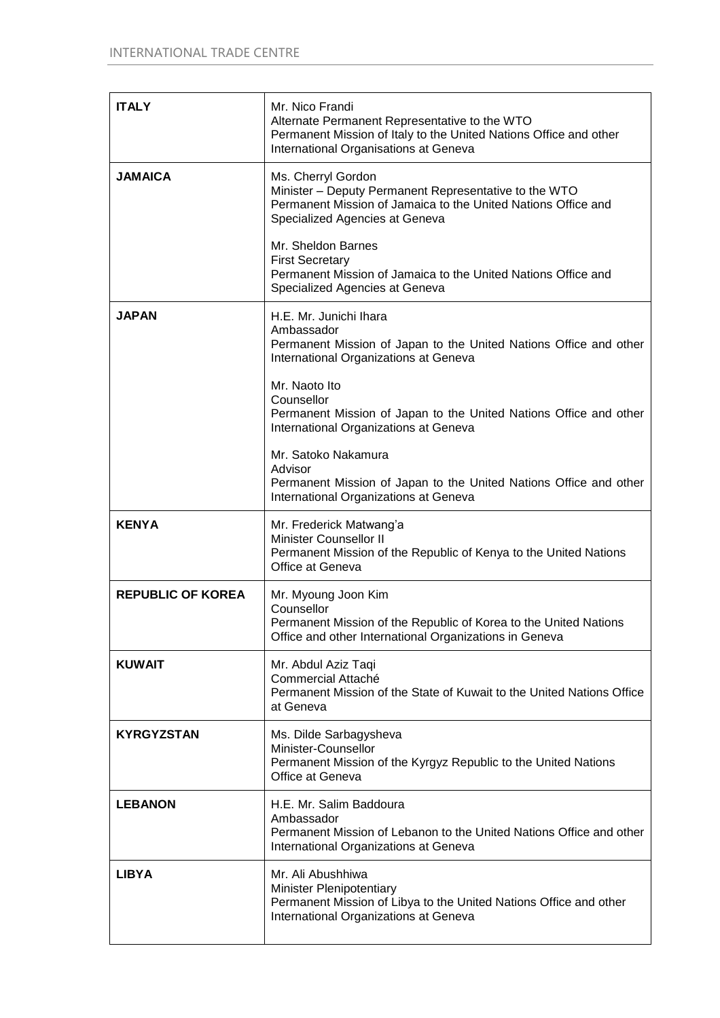| <b>ITALY</b>             | Mr. Nico Frandi<br>Alternate Permanent Representative to the WTO<br>Permanent Mission of Italy to the United Nations Office and other<br>International Organisations at Geneva |
|--------------------------|--------------------------------------------------------------------------------------------------------------------------------------------------------------------------------|
| <b>JAMAICA</b>           | Ms. Cherryl Gordon<br>Minister - Deputy Permanent Representative to the WTO<br>Permanent Mission of Jamaica to the United Nations Office and<br>Specialized Agencies at Geneva |
|                          | Mr. Sheldon Barnes<br><b>First Secretary</b><br>Permanent Mission of Jamaica to the United Nations Office and<br>Specialized Agencies at Geneva                                |
| <b>JAPAN</b>             | H.E. Mr. Junichi Ihara<br>Ambassador<br>Permanent Mission of Japan to the United Nations Office and other<br>International Organizations at Geneva                             |
|                          | Mr. Naoto Ito<br>Counsellor<br>Permanent Mission of Japan to the United Nations Office and other<br>International Organizations at Geneva                                      |
|                          | Mr. Satoko Nakamura<br>Advisor<br>Permanent Mission of Japan to the United Nations Office and other<br>International Organizations at Geneva                                   |
| <b>KENYA</b>             | Mr. Frederick Matwang'a<br><b>Minister Counsellor II</b><br>Permanent Mission of the Republic of Kenya to the United Nations<br>Office at Geneva                               |
| <b>REPUBLIC OF KOREA</b> | Mr. Myoung Joon Kim<br>Counsellor<br>Permanent Mission of the Republic of Korea to the United Nations<br>Office and other International Organizations in Geneva                |
| <b>KUWAIT</b>            | Mr. Abdul Aziz Taqi<br>Commercial Attaché<br>Permanent Mission of the State of Kuwait to the United Nations Office<br>at Geneva                                                |
| KYRGYZSTAN               | Ms. Dilde Sarbagysheva<br>Minister-Counsellor<br>Permanent Mission of the Kyrgyz Republic to the United Nations<br>Office at Geneva                                            |
| <b>LEBANON</b>           | H.E. Mr. Salim Baddoura<br>Ambassador<br>Permanent Mission of Lebanon to the United Nations Office and other<br>International Organizations at Geneva                          |
| <b>LIBYA</b>             | Mr. Ali Abushhiwa<br><b>Minister Plenipotentiary</b><br>Permanent Mission of Libya to the United Nations Office and other<br>International Organizations at Geneva             |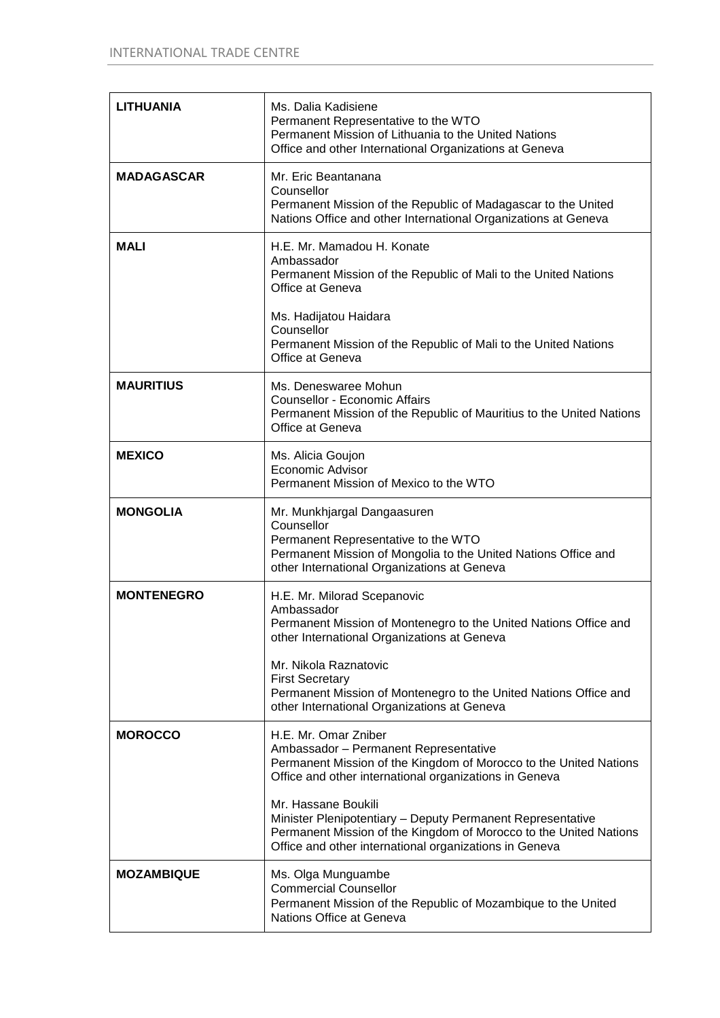| <b>LITHUANIA</b>  | Ms. Dalia Kadisiene<br>Permanent Representative to the WTO<br>Permanent Mission of Lithuania to the United Nations<br>Office and other International Organizations at Geneva                                     |
|-------------------|------------------------------------------------------------------------------------------------------------------------------------------------------------------------------------------------------------------|
| <b>MADAGASCAR</b> | Mr. Eric Beantanana<br>Counsellor<br>Permanent Mission of the Republic of Madagascar to the United<br>Nations Office and other International Organizations at Geneva                                             |
| <b>MALI</b>       | H.E. Mr. Mamadou H. Konate<br>Ambassador<br>Permanent Mission of the Republic of Mali to the United Nations<br>Office at Geneva                                                                                  |
|                   | Ms. Hadijatou Haidara<br>Counsellor<br>Permanent Mission of the Republic of Mali to the United Nations<br>Office at Geneva                                                                                       |
| <b>MAURITIUS</b>  | Ms. Deneswaree Mohun<br><b>Counsellor - Economic Affairs</b><br>Permanent Mission of the Republic of Mauritius to the United Nations<br>Office at Geneva                                                         |
| <b>MEXICO</b>     | Ms. Alicia Goujon<br>Economic Advisor<br>Permanent Mission of Mexico to the WTO                                                                                                                                  |
| <b>MONGOLIA</b>   | Mr. Munkhjargal Dangaasuren<br>Counsellor<br>Permanent Representative to the WTO<br>Permanent Mission of Mongolia to the United Nations Office and<br>other International Organizations at Geneva                |
| <b>MONTENEGRO</b> | H.E. Mr. Milorad Scepanovic<br>Ambassador<br>Permanent Mission of Montenegro to the United Nations Office and<br>other International Organizations at Geneva                                                     |
|                   | Mr. Nikola Raznatovic<br><b>First Secretary</b><br>Permanent Mission of Montenegro to the United Nations Office and<br>other International Organizations at Geneva                                               |
| <b>MOROCCO</b>    | H.E. Mr. Omar Zniber<br>Ambassador - Permanent Representative<br>Permanent Mission of the Kingdom of Morocco to the United Nations<br>Office and other international organizations in Geneva                     |
|                   | Mr. Hassane Boukili<br>Minister Plenipotentiary - Deputy Permanent Representative<br>Permanent Mission of the Kingdom of Morocco to the United Nations<br>Office and other international organizations in Geneva |
| <b>MOZAMBIQUE</b> | Ms. Olga Munguambe<br><b>Commercial Counsellor</b><br>Permanent Mission of the Republic of Mozambique to the United<br>Nations Office at Geneva                                                                  |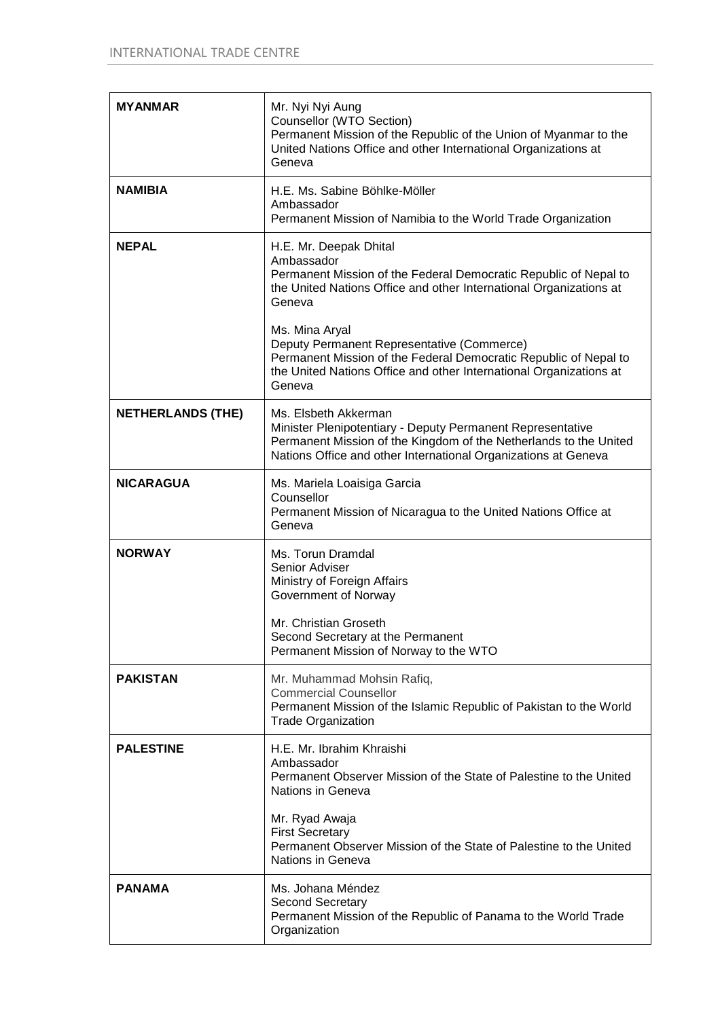| <b>MYANMAR</b>           | Mr. Nyi Nyi Aung<br>Counsellor (WTO Section)<br>Permanent Mission of the Republic of the Union of Myanmar to the<br>United Nations Office and other International Organizations at<br>Geneva                                                                                                                                                                                                                 |
|--------------------------|--------------------------------------------------------------------------------------------------------------------------------------------------------------------------------------------------------------------------------------------------------------------------------------------------------------------------------------------------------------------------------------------------------------|
| <b>NAMIBIA</b>           | H.E. Ms. Sabine Böhlke-Möller<br>Ambassador<br>Permanent Mission of Namibia to the World Trade Organization                                                                                                                                                                                                                                                                                                  |
| <b>NEPAL</b>             | H.E. Mr. Deepak Dhital<br>Ambassador<br>Permanent Mission of the Federal Democratic Republic of Nepal to<br>the United Nations Office and other International Organizations at<br>Geneva<br>Ms. Mina Aryal<br>Deputy Permanent Representative (Commerce)<br>Permanent Mission of the Federal Democratic Republic of Nepal to<br>the United Nations Office and other International Organizations at<br>Geneva |
| <b>NETHERLANDS (THE)</b> | Ms. Elsbeth Akkerman<br>Minister Plenipotentiary - Deputy Permanent Representative<br>Permanent Mission of the Kingdom of the Netherlands to the United<br>Nations Office and other International Organizations at Geneva                                                                                                                                                                                    |
| <b>NICARAGUA</b>         | Ms. Mariela Loaisiga Garcia<br>Counsellor<br>Permanent Mission of Nicaragua to the United Nations Office at<br>Geneva                                                                                                                                                                                                                                                                                        |
| <b>NORWAY</b>            | Ms. Torun Dramdal<br>Senior Adviser<br>Ministry of Foreign Affairs<br>Government of Norway<br>Mr. Christian Groseth<br>Second Secretary at the Permanent<br>Permanent Mission of Norway to the WTO                                                                                                                                                                                                           |
| <b>PAKISTAN</b>          | Mr. Muhammad Mohsin Rafiq,<br><b>Commercial Counsellor</b><br>Permanent Mission of the Islamic Republic of Pakistan to the World<br><b>Trade Organization</b>                                                                                                                                                                                                                                                |
| <b>PALESTINE</b>         | H.E. Mr. Ibrahim Khraishi<br>Ambassador<br>Permanent Observer Mission of the State of Palestine to the United<br>Nations in Geneva<br>Mr. Ryad Awaja<br><b>First Secretary</b><br>Permanent Observer Mission of the State of Palestine to the United<br>Nations in Geneva                                                                                                                                    |
| <b>PANAMA</b>            | Ms. Johana Méndez<br><b>Second Secretary</b><br>Permanent Mission of the Republic of Panama to the World Trade<br>Organization                                                                                                                                                                                                                                                                               |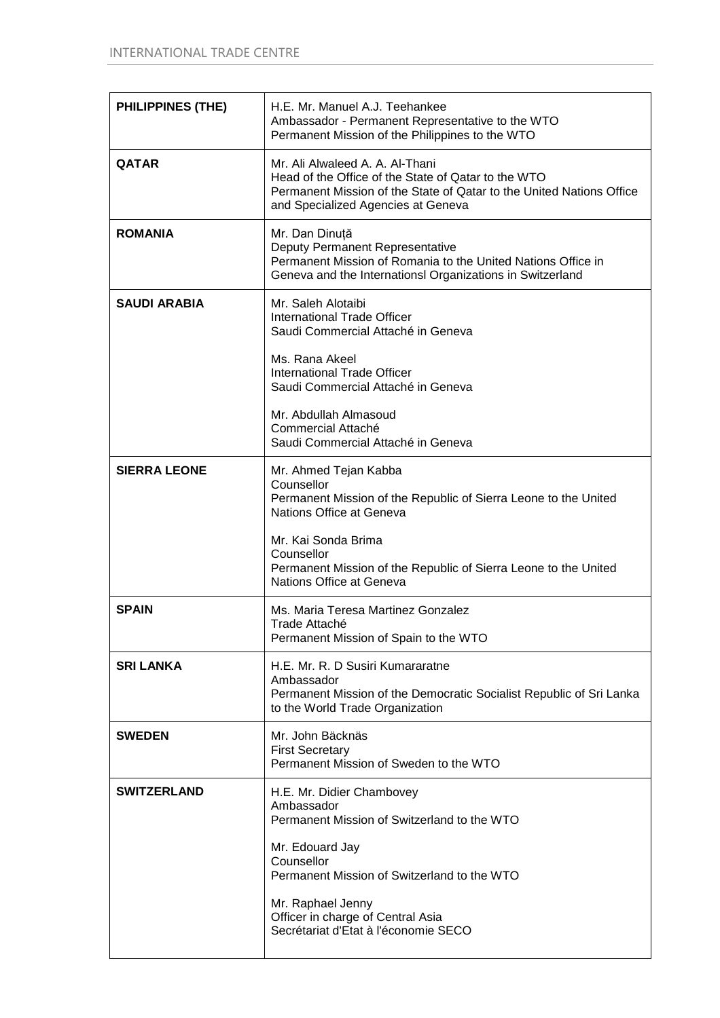| <b>PHILIPPINES (THE)</b> | H.E. Mr. Manuel A.J. Teehankee<br>Ambassador - Permanent Representative to the WTO<br>Permanent Mission of the Philippines to the WTO                                                                                            |
|--------------------------|----------------------------------------------------------------------------------------------------------------------------------------------------------------------------------------------------------------------------------|
| <b>QATAR</b>             | Mr. Ali Alwaleed A. A. Al-Thani<br>Head of the Office of the State of Qatar to the WTO<br>Permanent Mission of the State of Qatar to the United Nations Office<br>and Specialized Agencies at Geneva                             |
| <b>ROMANIA</b>           | Mr. Dan Dinuță<br>Deputy Permanent Representative<br>Permanent Mission of Romania to the United Nations Office in<br>Geneva and the Internationsl Organizations in Switzerland                                                   |
| <b>SAUDI ARABIA</b>      | Mr. Saleh Alotaibi<br><b>International Trade Officer</b><br>Saudi Commercial Attaché in Geneva                                                                                                                                   |
|                          | Ms. Rana Akeel<br><b>International Trade Officer</b><br>Saudi Commercial Attaché in Geneva                                                                                                                                       |
|                          | Mr. Abdullah Almasoud<br>Commercial Attaché<br>Saudi Commercial Attaché in Geneva                                                                                                                                                |
| <b>SIERRA LEONE</b>      | Mr. Ahmed Tejan Kabba<br>Counsellor<br>Permanent Mission of the Republic of Sierra Leone to the United<br>Nations Office at Geneva                                                                                               |
|                          | Mr. Kai Sonda Brima<br>Counsellor<br>Permanent Mission of the Republic of Sierra Leone to the United<br>Nations Office at Geneva                                                                                                 |
| <b>SPAIN</b>             | Ms. Maria Teresa Martinez Gonzalez<br>Trade Attaché<br>Permanent Mission of Spain to the WTO                                                                                                                                     |
| <b>SRI LANKA</b>         | H.E. Mr. R. D Susiri Kumararatne<br>Ambassador<br>Permanent Mission of the Democratic Socialist Republic of Sri Lanka<br>to the World Trade Organization                                                                         |
| <b>SWEDEN</b>            |                                                                                                                                                                                                                                  |
|                          | Mr. John Bäcknäs<br><b>First Secretary</b><br>Permanent Mission of Sweden to the WTO                                                                                                                                             |
| <b>SWITZERLAND</b>       | H.E. Mr. Didier Chambovey<br>Ambassador<br>Permanent Mission of Switzerland to the WTO<br>Mr. Edouard Jay<br>Counsellor<br>Permanent Mission of Switzerland to the WTO<br>Mr. Raphael Jenny<br>Officer in charge of Central Asia |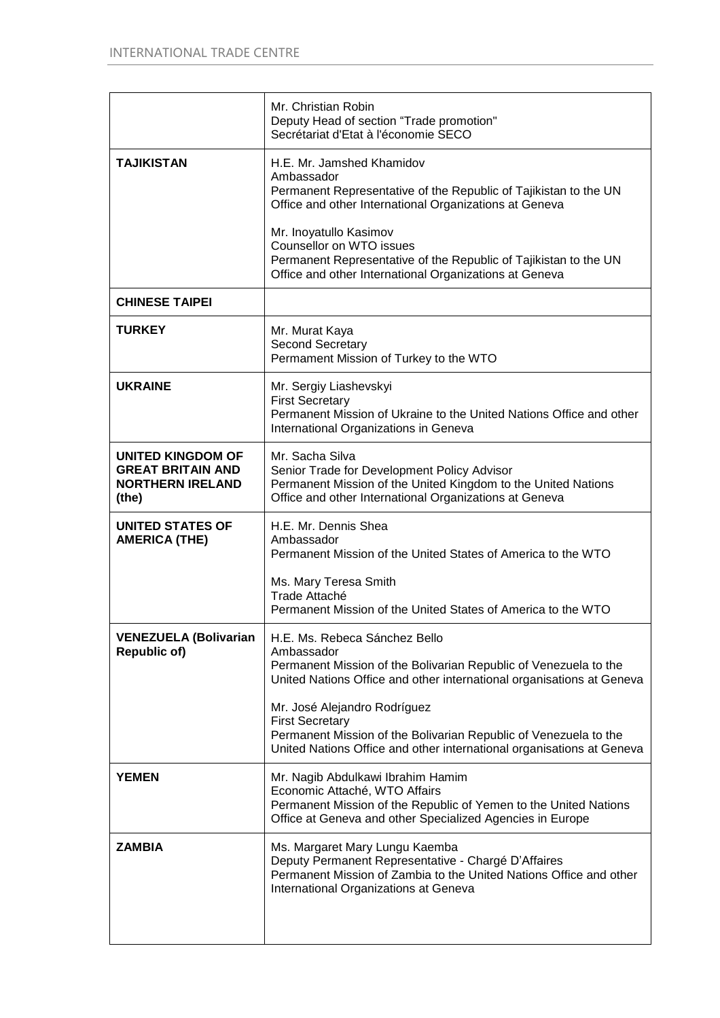|                                                                                   | Mr. Christian Robin<br>Deputy Head of section "Trade promotion"<br>Secrétariat d'Etat à l'économie SECO                                                                                                                                                                                                                                                                                         |
|-----------------------------------------------------------------------------------|-------------------------------------------------------------------------------------------------------------------------------------------------------------------------------------------------------------------------------------------------------------------------------------------------------------------------------------------------------------------------------------------------|
| <b>TAJIKISTAN</b>                                                                 | H.E. Mr. Jamshed Khamidov<br>Ambassador<br>Permanent Representative of the Republic of Tajikistan to the UN<br>Office and other International Organizations at Geneva<br>Mr. Inoyatullo Kasimov<br>Counsellor on WTO issues<br>Permanent Representative of the Republic of Tajikistan to the UN<br>Office and other International Organizations at Geneva                                       |
| <b>CHINESE TAIPEI</b>                                                             |                                                                                                                                                                                                                                                                                                                                                                                                 |
| <b>TURKEY</b>                                                                     | Mr. Murat Kaya<br><b>Second Secretary</b><br>Permament Mission of Turkey to the WTO                                                                                                                                                                                                                                                                                                             |
| <b>UKRAINE</b>                                                                    | Mr. Sergiy Liashevskyi<br><b>First Secretary</b><br>Permanent Mission of Ukraine to the United Nations Office and other<br>International Organizations in Geneva                                                                                                                                                                                                                                |
| UNITED KINGDOM OF<br><b>GREAT BRITAIN AND</b><br><b>NORTHERN IRELAND</b><br>(the) | Mr. Sacha Silva<br>Senior Trade for Development Policy Advisor<br>Permanent Mission of the United Kingdom to the United Nations<br>Office and other International Organizations at Geneva                                                                                                                                                                                                       |
| <b>UNITED STATES OF</b><br><b>AMERICA (THE)</b>                                   | H.E. Mr. Dennis Shea<br>Ambassador<br>Permanent Mission of the United States of America to the WTO<br>Ms. Mary Teresa Smith<br>Trade Attaché<br>Permanent Mission of the United States of America to the WTO                                                                                                                                                                                    |
| <b>VENEZUELA (Bolivarian</b><br><b>Republic of)</b>                               | H.E. Ms. Rebeca Sánchez Bello<br>Ambassador<br>Permanent Mission of the Bolivarian Republic of Venezuela to the<br>United Nations Office and other international organisations at Geneva<br>Mr. José Alejandro Rodríguez<br><b>First Secretary</b><br>Permanent Mission of the Bolivarian Republic of Venezuela to the<br>United Nations Office and other international organisations at Geneva |
| <b>YEMEN</b>                                                                      | Mr. Nagib Abdulkawi Ibrahim Hamim<br>Economic Attaché, WTO Affairs<br>Permanent Mission of the Republic of Yemen to the United Nations<br>Office at Geneva and other Specialized Agencies in Europe                                                                                                                                                                                             |
| <b>ZAMBIA</b>                                                                     | Ms. Margaret Mary Lungu Kaemba<br>Deputy Permanent Representative - Chargé D'Affaires<br>Permanent Mission of Zambia to the United Nations Office and other<br>International Organizations at Geneva                                                                                                                                                                                            |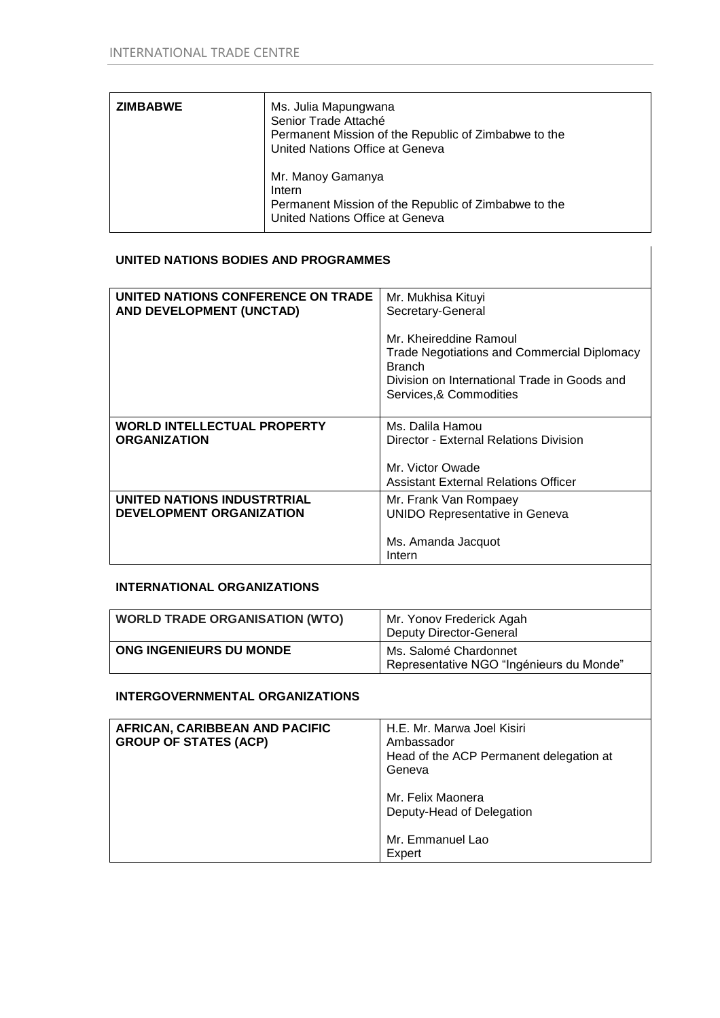| <b>ZIMBABWE</b> | Ms. Julia Mapungwana<br>Senior Trade Attaché<br>Permanent Mission of the Republic of Zimbabwe to the<br>United Nations Office at Geneva |
|-----------------|-----------------------------------------------------------------------------------------------------------------------------------------|
|                 | Mr. Manoy Gamanya<br>Intern<br>Permanent Mission of the Republic of Zimbabwe to the<br>United Nations Office at Geneva                  |

## **UNITED NATIONS BODIES AND PROGRAMMES**

| UNITED NATIONS CONFERENCE ON TRADE<br>AND DEVELOPMENT (UNCTAD) | Mr. Mukhisa Kituyi<br>Secretary-General                                                                                                                                  |
|----------------------------------------------------------------|--------------------------------------------------------------------------------------------------------------------------------------------------------------------------|
|                                                                | Mr. Kheireddine Ramoul<br><b>Trade Negotiations and Commercial Diplomacy</b><br><b>Branch</b><br>Division on International Trade in Goods and<br>Services, & Commodities |
| <b>WORLD INTELLECTUAL PROPERTY</b><br><b>ORGANIZATION</b>      | Ms. Dalila Hamou<br>Director - External Relations Division                                                                                                               |
|                                                                | Mr. Victor Owade<br>Assistant External Relations Officer                                                                                                                 |
| UNITED NATIONS INDUSTRTRIAL<br><b>DEVELOPMENT ORGANIZATION</b> | Mr. Frank Van Rompaey<br><b>UNIDO Representative in Geneva</b>                                                                                                           |
|                                                                | Ms. Amanda Jacquot<br>Intern                                                                                                                                             |

# **INTERNATIONAL ORGANIZATIONS**

| <b>WORLD TRADE ORGANISATION (WTO)</b> | Mr. Yonov Frederick Agah<br><b>Deputy Director-General</b>        |
|---------------------------------------|-------------------------------------------------------------------|
| ONG INGENIEURS DU MONDE               | Ms. Salomé Chardonnet<br>Representative NGO "Ingénieurs du Monde" |

### **INTERGOVERNMENTAL ORGANIZATIONS**

| AFRICAN, CARIBBEAN AND PACIFIC<br><b>GROUP OF STATES (ACP)</b> | H.E. Mr. Marwa Joel Kisiri<br>Ambassador<br>Head of the ACP Permanent delegation at<br>Geneva |
|----------------------------------------------------------------|-----------------------------------------------------------------------------------------------|
|                                                                | Mr. Felix Maonera<br>Deputy-Head of Delegation                                                |
|                                                                | Mr. Emmanuel Lao<br>Expert                                                                    |